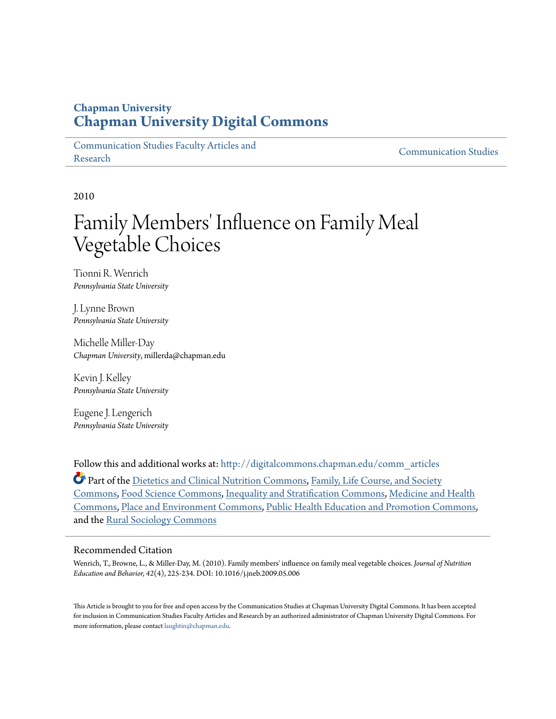### **Chapman University [Chapman University Digital Commons](http://digitalcommons.chapman.edu?utm_source=digitalcommons.chapman.edu%2Fcomm_articles%2F7&utm_medium=PDF&utm_campaign=PDFCoverPages)**

[Communication Studies Faculty Articles and](http://digitalcommons.chapman.edu/comm_articles?utm_source=digitalcommons.chapman.edu%2Fcomm_articles%2F7&utm_medium=PDF&utm_campaign=PDFCoverPages) [Research](http://digitalcommons.chapman.edu/comm_articles?utm_source=digitalcommons.chapman.edu%2Fcomm_articles%2F7&utm_medium=PDF&utm_campaign=PDFCoverPages) [Communication Studies](http://digitalcommons.chapman.edu/communication?utm_source=digitalcommons.chapman.edu%2Fcomm_articles%2F7&utm_medium=PDF&utm_campaign=PDFCoverPages)

2010

# Family Members' Influence on Family Meal Vegetable Choices

Tionni R. Wenrich *Pennsylvania State University*

J. Lynne Brown *Pennsylvania State University*

Michelle Miller-Day *Chapman University*, millerda@chapman.edu

Kevin J. Kelley *Pennsylvania State University*

Eugene J. Lengerich *Pennsylvania State University*

Follow this and additional works at: [http://digitalcommons.chapman.edu/comm\\_articles](http://digitalcommons.chapman.edu/comm_articles?utm_source=digitalcommons.chapman.edu%2Fcomm_articles%2F7&utm_medium=PDF&utm_campaign=PDFCoverPages)

Part of the [Dietetics and Clinical Nutrition Commons,](http://network.bepress.com/hgg/discipline/662?utm_source=digitalcommons.chapman.edu%2Fcomm_articles%2F7&utm_medium=PDF&utm_campaign=PDFCoverPages) [Family, Life Course, and Society](http://network.bepress.com/hgg/discipline/419?utm_source=digitalcommons.chapman.edu%2Fcomm_articles%2F7&utm_medium=PDF&utm_campaign=PDFCoverPages) [Commons,](http://network.bepress.com/hgg/discipline/419?utm_source=digitalcommons.chapman.edu%2Fcomm_articles%2F7&utm_medium=PDF&utm_campaign=PDFCoverPages) [Food Science Commons](http://network.bepress.com/hgg/discipline/84?utm_source=digitalcommons.chapman.edu%2Fcomm_articles%2F7&utm_medium=PDF&utm_campaign=PDFCoverPages), [Inequality and Stratification Commons,](http://network.bepress.com/hgg/discipline/421?utm_source=digitalcommons.chapman.edu%2Fcomm_articles%2F7&utm_medium=PDF&utm_campaign=PDFCoverPages) [Medicine and Health](http://network.bepress.com/hgg/discipline/422?utm_source=digitalcommons.chapman.edu%2Fcomm_articles%2F7&utm_medium=PDF&utm_campaign=PDFCoverPages) [Commons,](http://network.bepress.com/hgg/discipline/422?utm_source=digitalcommons.chapman.edu%2Fcomm_articles%2F7&utm_medium=PDF&utm_campaign=PDFCoverPages) [Place and Environment Commons](http://network.bepress.com/hgg/discipline/424?utm_source=digitalcommons.chapman.edu%2Fcomm_articles%2F7&utm_medium=PDF&utm_campaign=PDFCoverPages), [Public Health Education and Promotion Commons](http://network.bepress.com/hgg/discipline/743?utm_source=digitalcommons.chapman.edu%2Fcomm_articles%2F7&utm_medium=PDF&utm_campaign=PDFCoverPages), and the [Rural Sociology Commons](http://network.bepress.com/hgg/discipline/428?utm_source=digitalcommons.chapman.edu%2Fcomm_articles%2F7&utm_medium=PDF&utm_campaign=PDFCoverPages)

#### Recommended Citation

Wenrich, T., Browne, L., & Miller-Day, M. (2010). Family members' influence on family meal vegetable choices. *Journal of Nutrition Education and Behavior, 42*(4), 225-234. DOI: 10.1016/j.jneb.2009.05.006

This Article is brought to you for free and open access by the Communication Studies at Chapman University Digital Commons. It has been accepted for inclusion in Communication Studies Faculty Articles and Research by an authorized administrator of Chapman University Digital Commons. For more information, please contact  $\text{la }\mathbf{u}$  and  $\mathbf{u}$  and  $\mathbf{u}$  and  $\mathbf{u}$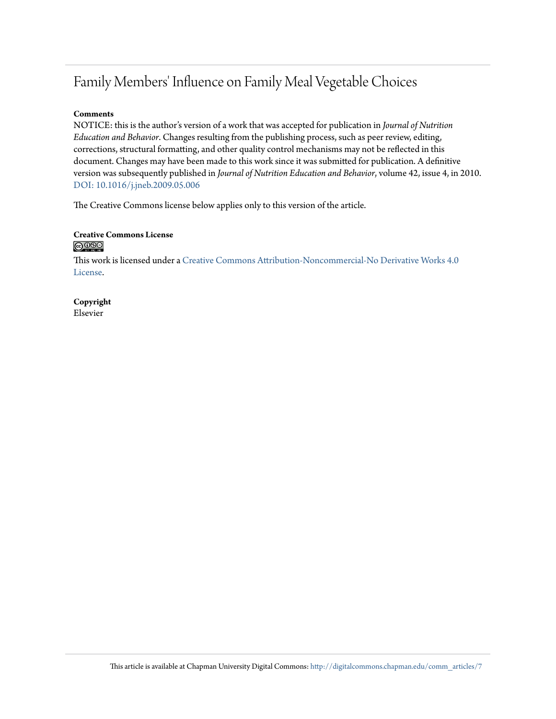## Family Members' Influence on Family Meal Vegetable Choices

#### **Comments**

NOTICE: this is the author's version of a work that was accepted for publication in *Journal of Nutrition Education and Behavior*. Changes resulting from the publishing process, such as peer review, editing, corrections, structural formatting, and other quality control mechanisms may not be reflected in this document. Changes may have been made to this work since it was submitted for publication. A definitive version was subsequently published in *Journal of Nutrition Education and Behavior*, volume 42, issue 4, in 2010. [DOI: 10.1016/j.jneb.2009.05.006](http://dx.doi.org/10.1016/j.jneb.2009.05.006)

The Creative Commons license below applies only to this version of the article.

## Creative Commons License<br> **@ 099**

This work is licensed under a [Creative Commons Attribution-Noncommercial-No Derivative Works 4.0](http://creativecommons.org/licenses/by-nc-nd/4.0/) [License.](http://creativecommons.org/licenses/by-nc-nd/4.0/)

**Copyright** Elsevier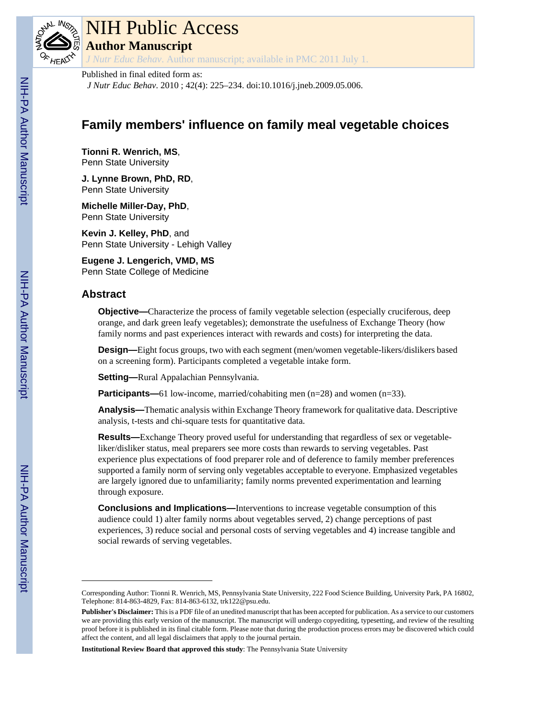

# NIH Public Access

**Author Manuscript**

*J Nutr Educ Behav*. Author manuscript; available in PMC 2011 July 1.

#### Published in final edited form as:

*J Nutr Educ Behav*. 2010 ; 42(4): 225–234. doi:10.1016/j.jneb.2009.05.006.

## **Family members' influence on family meal vegetable choices**

**Tionni R. Wenrich, MS**, Penn State University

**J. Lynne Brown, PhD, RD**, Penn State University

**Michelle Miller-Day, PhD**, Penn State University

**Kevin J. Kelley, PhD**, and Penn State University - Lehigh Valley

**Eugene J. Lengerich, VMD, MS** Penn State College of Medicine

### **Abstract**

**Objective—**Characterize the process of family vegetable selection (especially cruciferous, deep orange, and dark green leafy vegetables); demonstrate the usefulness of Exchange Theory (how family norms and past experiences interact with rewards and costs) for interpreting the data.

**Design—**Eight focus groups, two with each segment (men/women vegetable-likers/dislikers based on a screening form). Participants completed a vegetable intake form.

**Setting—**Rural Appalachian Pennsylvania.

**Participants—**61 low-income, married/cohabiting men (n=28) and women (n=33).

**Analysis—**Thematic analysis within Exchange Theory framework for qualitative data. Descriptive analysis, t-tests and chi-square tests for quantitative data.

**Results—**Exchange Theory proved useful for understanding that regardless of sex or vegetableliker/disliker status, meal preparers see more costs than rewards to serving vegetables. Past experience plus expectations of food preparer role and of deference to family member preferences supported a family norm of serving only vegetables acceptable to everyone. Emphasized vegetables are largely ignored due to unfamiliarity; family norms prevented experimentation and learning through exposure.

**Conclusions and Implications—**Interventions to increase vegetable consumption of this audience could 1) alter family norms about vegetables served, 2) change perceptions of past experiences, 3) reduce social and personal costs of serving vegetables and 4) increase tangible and social rewards of serving vegetables.

Corresponding Author: Tionni R. Wenrich, MS, Pennsylvania State University, 222 Food Science Building, University Park, PA 16802, Telephone: 814-863-4829, Fax: 814-863-6132, trk122@psu.edu.

**Publisher's Disclaimer:** This is a PDF file of an unedited manuscript that has been accepted for publication. As a service to our customers we are providing this early version of the manuscript. The manuscript will undergo copyediting, typesetting, and review of the resulting proof before it is published in its final citable form. Please note that during the production process errors may be discovered which could affect the content, and all legal disclaimers that apply to the journal pertain.

**Institutional Review Board that approved this study**: The Pennsylvania State University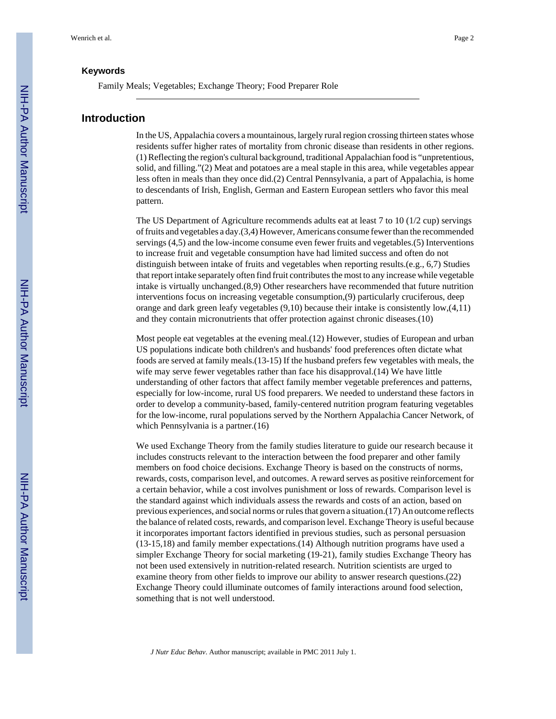#### **Keywords**

Family Meals; Vegetables; Exchange Theory; Food Preparer Role

#### **Introduction**

In the US, Appalachia covers a mountainous, largely rural region crossing thirteen states whose residents suffer higher rates of mortality from chronic disease than residents in other regions. (1) Reflecting the region's cultural background, traditional Appalachian food is "unpretentious, solid, and filling."(2) Meat and potatoes are a meal staple in this area, while vegetables appear less often in meals than they once did.(2) Central Pennsylvania, a part of Appalachia, is home to descendants of Irish, English, German and Eastern European settlers who favor this meal pattern.

The US Department of Agriculture recommends adults eat at least 7 to 10 (1/2 cup) servings of fruits and vegetables a day.(3,4) However, Americans consume fewer than the recommended servings (4,5) and the low-income consume even fewer fruits and vegetables.(5) Interventions to increase fruit and vegetable consumption have had limited success and often do not distinguish between intake of fruits and vegetables when reporting results.(e.g., 6,7) Studies that report intake separately often find fruit contributes the most to any increase while vegetable intake is virtually unchanged.(8,9) Other researchers have recommended that future nutrition interventions focus on increasing vegetable consumption,(9) particularly cruciferous, deep orange and dark green leafy vegetables (9,10) because their intake is consistently low,(4,11) and they contain micronutrients that offer protection against chronic diseases.(10)

Most people eat vegetables at the evening meal.(12) However, studies of European and urban US populations indicate both children's and husbands' food preferences often dictate what foods are served at family meals.(13-15) If the husband prefers few vegetables with meals, the wife may serve fewer vegetables rather than face his disapproval.(14) We have little understanding of other factors that affect family member vegetable preferences and patterns, especially for low-income, rural US food preparers. We needed to understand these factors in order to develop a community-based, family-centered nutrition program featuring vegetables for the low-income, rural populations served by the Northern Appalachia Cancer Network, of which Pennsylvania is a partner.(16)

We used Exchange Theory from the family studies literature to guide our research because it includes constructs relevant to the interaction between the food preparer and other family members on food choice decisions. Exchange Theory is based on the constructs of norms, rewards, costs, comparison level, and outcomes. A reward serves as positive reinforcement for a certain behavior, while a cost involves punishment or loss of rewards. Comparison level is the standard against which individuals assess the rewards and costs of an action, based on previous experiences, and social norms or rules that govern a situation.(17) An outcome reflects the balance of related costs, rewards, and comparison level. Exchange Theory is useful because it incorporates important factors identified in previous studies, such as personal persuasion (13-15,18) and family member expectations.(14) Although nutrition programs have used a simpler Exchange Theory for social marketing (19-21), family studies Exchange Theory has not been used extensively in nutrition-related research. Nutrition scientists are urged to examine theory from other fields to improve our ability to answer research questions.(22) Exchange Theory could illuminate outcomes of family interactions around food selection, something that is not well understood.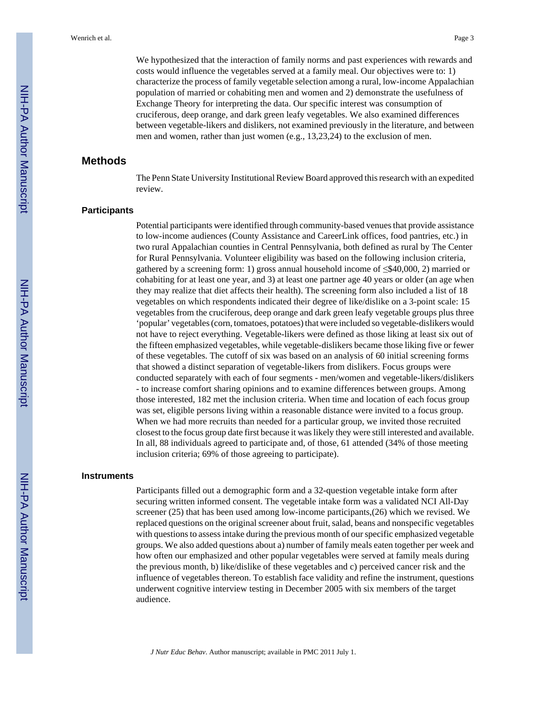We hypothesized that the interaction of family norms and past experiences with rewards and costs would influence the vegetables served at a family meal. Our objectives were to: 1) characterize the process of family vegetable selection among a rural, low-income Appalachian population of married or cohabiting men and women and 2) demonstrate the usefulness of Exchange Theory for interpreting the data. Our specific interest was consumption of cruciferous, deep orange, and dark green leafy vegetables. We also examined differences between vegetable-likers and dislikers, not examined previously in the literature, and between men and women, rather than just women (e.g., 13,23,24) to the exclusion of men.

#### **Methods**

The Penn State University Institutional Review Board approved this research with an expedited review.

#### **Participants**

Potential participants were identified through community-based venues that provide assistance to low-income audiences (County Assistance and CareerLink offices, food pantries, etc.) in two rural Appalachian counties in Central Pennsylvania, both defined as rural by The Center for Rural Pennsylvania. Volunteer eligibility was based on the following inclusion criteria, gathered by a screening form: 1) gross annual household income of ≤\$40,000, 2) married or cohabiting for at least one year, and 3) at least one partner age 40 years or older (an age when they may realize that diet affects their health). The screening form also included a list of 18 vegetables on which respondents indicated their degree of like/dislike on a 3-point scale: 15 vegetables from the cruciferous, deep orange and dark green leafy vegetable groups plus three 'popular' vegetables (corn, tomatoes, potatoes) that were included so vegetable-dislikers would not have to reject everything. Vegetable-likers were defined as those liking at least six out of the fifteen emphasized vegetables, while vegetable-dislikers became those liking five or fewer of these vegetables. The cutoff of six was based on an analysis of 60 initial screening forms that showed a distinct separation of vegetable-likers from dislikers. Focus groups were conducted separately with each of four segments - men/women and vegetable-likers/dislikers - to increase comfort sharing opinions and to examine differences between groups. Among those interested, 182 met the inclusion criteria. When time and location of each focus group was set, eligible persons living within a reasonable distance were invited to a focus group. When we had more recruits than needed for a particular group, we invited those recruited closest to the focus group date first because it was likely they were still interested and available. In all, 88 individuals agreed to participate and, of those, 61 attended (34% of those meeting inclusion criteria; 69% of those agreeing to participate).

#### **Instruments**

Participants filled out a demographic form and a 32-question vegetable intake form after securing written informed consent. The vegetable intake form was a validated NCI All-Day screener (25) that has been used among low-income participants,(26) which we revised. We replaced questions on the original screener about fruit, salad, beans and nonspecific vegetables with questions to assess intake during the previous month of our specific emphasized vegetable groups. We also added questions about a) number of family meals eaten together per week and how often our emphasized and other popular vegetables were served at family meals during the previous month, b) like/dislike of these vegetables and c) perceived cancer risk and the influence of vegetables thereon. To establish face validity and refine the instrument, questions underwent cognitive interview testing in December 2005 with six members of the target audience.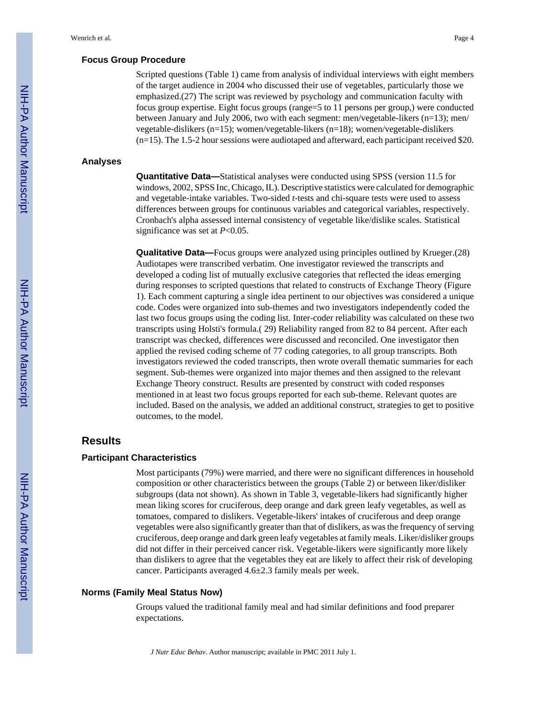#### **Focus Group Procedure**

Scripted questions (Table 1) came from analysis of individual interviews with eight members of the target audience in 2004 who discussed their use of vegetables, particularly those we emphasized.(27) The script was reviewed by psychology and communication faculty with focus group expertise. Eight focus groups (range=5 to 11 persons per group,) were conducted between January and July 2006, two with each segment: men/vegetable-likers (n=13); men/ vegetable-dislikers (n=15); women/vegetable-likers (n=18); women/vegetable-dislikers (n=15). The 1.5-2 hour sessions were audiotaped and afterward, each participant received \$20.

#### **Analyses**

**Quantitative Data—**Statistical analyses were conducted using SPSS (version 11.5 for windows, 2002, SPSS Inc, Chicago, IL). Descriptive statistics were calculated for demographic and vegetable-intake variables. Two-sided *t*-tests and chi-square tests were used to assess differences between groups for continuous variables and categorical variables, respectively. Cronbach's alpha assessed internal consistency of vegetable like/dislike scales. Statistical significance was set at *P*<0.05.

**Qualitative Data—**Focus groups were analyzed using principles outlined by Krueger.(28) Audiotapes were transcribed verbatim. One investigator reviewed the transcripts and developed a coding list of mutually exclusive categories that reflected the ideas emerging during responses to scripted questions that related to constructs of Exchange Theory (Figure 1). Each comment capturing a single idea pertinent to our objectives was considered a unique code. Codes were organized into sub-themes and two investigators independently coded the last two focus groups using the coding list. Inter-coder reliability was calculated on these two transcripts using Holsti's formula.( 29) Reliability ranged from 82 to 84 percent. After each transcript was checked, differences were discussed and reconciled. One investigator then applied the revised coding scheme of 77 coding categories, to all group transcripts. Both investigators reviewed the coded transcripts, then wrote overall thematic summaries for each segment. Sub-themes were organized into major themes and then assigned to the relevant Exchange Theory construct. Results are presented by construct with coded responses mentioned in at least two focus groups reported for each sub-theme. Relevant quotes are included. Based on the analysis, we added an additional construct, strategies to get to positive outcomes, to the model.

#### **Results**

#### **Participant Characteristics**

Most participants (79%) were married, and there were no significant differences in household composition or other characteristics between the groups (Table 2) or between liker/disliker subgroups (data not shown). As shown in Table 3, vegetable-likers had significantly higher mean liking scores for cruciferous, deep orange and dark green leafy vegetables, as well as tomatoes, compared to dislikers. Vegetable-likers' intakes of cruciferous and deep orange vegetables were also significantly greater than that of dislikers, as was the frequency of serving cruciferous, deep orange and dark green leafy vegetables at family meals. Liker/disliker groups did not differ in their perceived cancer risk. Vegetable-likers were significantly more likely than dislikers to agree that the vegetables they eat are likely to affect their risk of developing cancer. Participants averaged 4.6±2.3 family meals per week.

#### **Norms (Family Meal Status Now)**

Groups valued the traditional family meal and had similar definitions and food preparer expectations.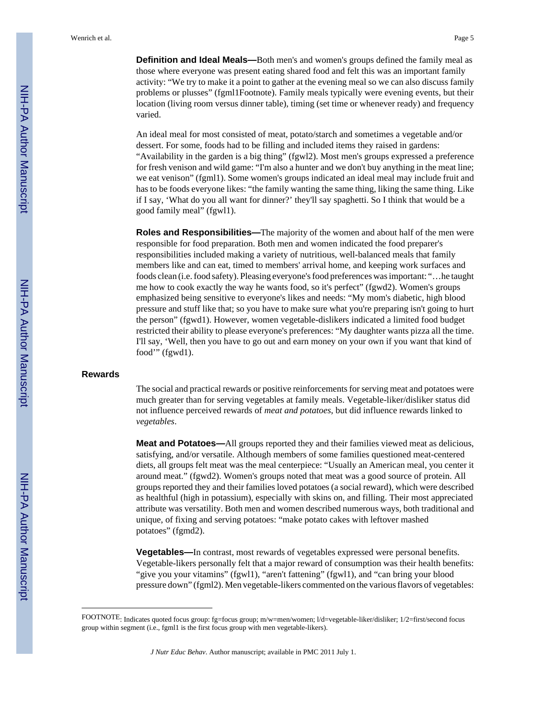**Definition and Ideal Meals—**Both men's and women's groups defined the family meal as those where everyone was present eating shared food and felt this was an important family activity: "We try to make it a point to gather at the evening meal so we can also discuss family problems or plusses" (fgml1Footnote). Family meals typically were evening events, but their location (living room versus dinner table), timing (set time or whenever ready) and frequency varied.

An ideal meal for most consisted of meat, potato/starch and sometimes a vegetable and/or dessert. For some, foods had to be filling and included items they raised in gardens: "Availability in the garden is a big thing" (fgwl2). Most men's groups expressed a preference for fresh venison and wild game: "I'm also a hunter and we don't buy anything in the meat line; we eat venison" (fgml1). Some women's groups indicated an ideal meal may include fruit and has to be foods everyone likes: "the family wanting the same thing, liking the same thing. Like if I say, 'What do you all want for dinner?' they'll say spaghetti. So I think that would be a good family meal" (fgwl1).

**Roles and Responsibilities—**The majority of the women and about half of the men were responsible for food preparation. Both men and women indicated the food preparer's responsibilities included making a variety of nutritious, well-balanced meals that family members like and can eat, timed to members' arrival home, and keeping work surfaces and foods clean (i.e. food safety). Pleasing everyone's food preferences was important: "…he taught me how to cook exactly the way he wants food, so it's perfect" (fgwd2). Women's groups emphasized being sensitive to everyone's likes and needs: "My mom's diabetic, high blood pressure and stuff like that; so you have to make sure what you're preparing isn't going to hurt the person" (fgwd1). However, women vegetable-dislikers indicated a limited food budget restricted their ability to please everyone's preferences: "My daughter wants pizza all the time. I'll say, 'Well, then you have to go out and earn money on your own if you want that kind of food'" (fgwd1).

#### **Rewards**

The social and practical rewards or positive reinforcements for serving meat and potatoes were much greater than for serving vegetables at family meals. Vegetable-liker/disliker status did not influence perceived rewards of *meat and potatoes*, but did influence rewards linked to *vegetables*.

**Meat and Potatoes—**All groups reported they and their families viewed meat as delicious, satisfying, and/or versatile. Although members of some families questioned meat-centered diets, all groups felt meat was the meal centerpiece: "Usually an American meal, you center it around meat." (fgwd2). Women's groups noted that meat was a good source of protein. All groups reported they and their families loved potatoes (a social reward), which were described as healthful (high in potassium), especially with skins on, and filling. Their most appreciated attribute was versatility. Both men and women described numerous ways, both traditional and unique, of fixing and serving potatoes: "make potato cakes with leftover mashed potatoes" (fgmd2).

**Vegetables—**In contrast, most rewards of vegetables expressed were personal benefits. Vegetable-likers personally felt that a major reward of consumption was their health benefits: "give you your vitamins" (fgwl1), "aren't fattening" (fgwl1), and "can bring your blood pressure down" (fgml2). Men vegetable-likers commented on the various flavors of vegetables:

FOOTNOTE: Indicates quoted focus group: fg=focus group; m/w=men/women; l/d=vegetable-liker/disliker; 1/2=first/second focus group within segment (i.e., fgml1 is the first focus group with men vegetable-likers).

*J Nutr Educ Behav*. Author manuscript; available in PMC 2011 July 1.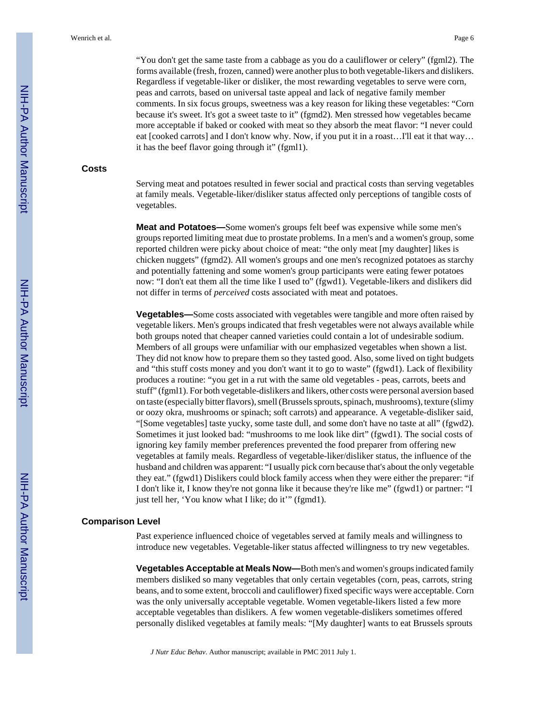"You don't get the same taste from a cabbage as you do a cauliflower or celery" (fgml2). The forms available (fresh, frozen, canned) were another plus to both vegetable-likers and dislikers. Regardless if vegetable-liker or disliker, the most rewarding vegetables to serve were corn, peas and carrots, based on universal taste appeal and lack of negative family member comments. In six focus groups, sweetness was a key reason for liking these vegetables: "Corn because it's sweet. It's got a sweet taste to it" (fgmd2). Men stressed how vegetables became more acceptable if baked or cooked with meat so they absorb the meat flavor: "I never could eat [cooked carrots] and I don't know why. Now, if you put it in a roast...I'll eat it that way... it has the beef flavor going through it" (fgml1).

#### **Costs**

Serving meat and potatoes resulted in fewer social and practical costs than serving vegetables at family meals. Vegetable-liker/disliker status affected only perceptions of tangible costs of vegetables.

**Meat and Potatoes—**Some women's groups felt beef was expensive while some men's groups reported limiting meat due to prostate problems. In a men's and a women's group, some reported children were picky about choice of meat: "the only meat [my daughter] likes is chicken nuggets" (fgmd2). All women's groups and one men's recognized potatoes as starchy and potentially fattening and some women's group participants were eating fewer potatoes now: "I don't eat them all the time like I used to" (fgwd1). Vegetable-likers and dislikers did not differ in terms of *perceived* costs associated with meat and potatoes.

**Vegetables—**Some costs associated with vegetables were tangible and more often raised by vegetable likers. Men's groups indicated that fresh vegetables were not always available while both groups noted that cheaper canned varieties could contain a lot of undesirable sodium. Members of all groups were unfamiliar with our emphasized vegetables when shown a list. They did not know how to prepare them so they tasted good. Also, some lived on tight budgets and "this stuff costs money and you don't want it to go to waste" (fgwd1). Lack of flexibility produces a routine: "you get in a rut with the same old vegetables - peas, carrots, beets and stuff" (fgml1). For both vegetable-dislikers and likers, other costs were personal aversion based on taste (especially bitter flavors), smell (Brussels sprouts, spinach, mushrooms), texture (slimy or oozy okra, mushrooms or spinach; soft carrots) and appearance. A vegetable-disliker said, "[Some vegetables] taste yucky, some taste dull, and some don't have no taste at all" (fgwd2). Sometimes it just looked bad: "mushrooms to me look like dirt" (fgwd1). The social costs of ignoring key family member preferences prevented the food preparer from offering new vegetables at family meals. Regardless of vegetable-liker/disliker status, the influence of the husband and children was apparent: "I usually pick corn because that's about the only vegetable they eat." (fgwd1) Dislikers could block family access when they were either the preparer: "if I don't like it, I know they're not gonna like it because they're like me" (fgwd1) or partner: "I just tell her, 'You know what I like; do it'" (fgmd1).

#### **Comparison Level**

Past experience influenced choice of vegetables served at family meals and willingness to introduce new vegetables. Vegetable-liker status affected willingness to try new vegetables.

**Vegetables Acceptable at Meals Now—**Both men's and women's groups indicated family members disliked so many vegetables that only certain vegetables (corn, peas, carrots, string beans, and to some extent, broccoli and cauliflower) fixed specific ways were acceptable. Corn was the only universally acceptable vegetable. Women vegetable-likers listed a few more acceptable vegetables than dislikers. A few women vegetable-dislikers sometimes offered personally disliked vegetables at family meals: "[My daughter] wants to eat Brussels sprouts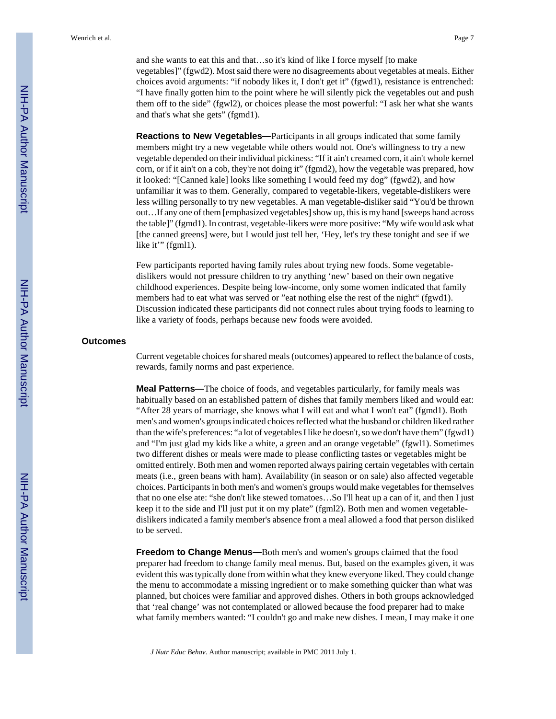and she wants to eat this and that…so it's kind of like I force myself [to make vegetables]" (fgwd2). Most said there were no disagreements about vegetables at meals. Either choices avoid arguments: "if nobody likes it, I don't get it" (fgwd1), resistance is entrenched: "I have finally gotten him to the point where he will silently pick the vegetables out and push them off to the side" (fgwl2), or choices please the most powerful: "I ask her what she wants and that's what she gets" (fgmd1).

**Reactions to New Vegetables—**Participants in all groups indicated that some family members might try a new vegetable while others would not. One's willingness to try a new vegetable depended on their individual pickiness: "If it ain't creamed corn, it ain't whole kernel corn, or if it ain't on a cob, they're not doing it" (fgmd2), how the vegetable was prepared, how it looked: "[Canned kale] looks like something I would feed my dog" (fgwd2), and how unfamiliar it was to them. Generally, compared to vegetable-likers, vegetable-dislikers were less willing personally to try new vegetables. A man vegetable-disliker said "You'd be thrown out…If any one of them [emphasized vegetables] show up, this is my hand [sweeps hand across the table]" (fgmd1). In contrast, vegetable-likers were more positive: "My wife would ask what [the canned greens] were, but I would just tell her, 'Hey, let's try these tonight and see if we like it" (fgml1).

Few participants reported having family rules about trying new foods. Some vegetabledislikers would not pressure children to try anything 'new' based on their own negative childhood experiences. Despite being low-income, only some women indicated that family members had to eat what was served or "eat nothing else the rest of the night" (fgwd1). Discussion indicated these participants did not connect rules about trying foods to learning to like a variety of foods, perhaps because new foods were avoided.

#### **Outcomes**

Current vegetable choices for shared meals (outcomes) appeared to reflect the balance of costs, rewards, family norms and past experience.

**Meal Patterns—**The choice of foods, and vegetables particularly, for family meals was habitually based on an established pattern of dishes that family members liked and would eat: "After 28 years of marriage, she knows what I will eat and what I won't eat" (fgmd1). Both men's and women's groups indicated choices reflected what the husband or children liked rather than the wife's preferences: "a lot of vegetables I like he doesn't, so we don't have them" (fgwd1) and "I'm just glad my kids like a white, a green and an orange vegetable" (fgwl1). Sometimes two different dishes or meals were made to please conflicting tastes or vegetables might be omitted entirely. Both men and women reported always pairing certain vegetables with certain meats (i.e., green beans with ham). Availability (in season or on sale) also affected vegetable choices. Participants in both men's and women's groups would make vegetables for themselves that no one else ate: "she don't like stewed tomatoes…So I'll heat up a can of it, and then I just keep it to the side and I'll just put it on my plate" (fgml2). Both men and women vegetabledislikers indicated a family member's absence from a meal allowed a food that person disliked to be served.

**Freedom to Change Menus—**Both men's and women's groups claimed that the food preparer had freedom to change family meal menus. But, based on the examples given, it was evident this was typically done from within what they knew everyone liked. They could change the menu to accommodate a missing ingredient or to make something quicker than what was planned, but choices were familiar and approved dishes. Others in both groups acknowledged that 'real change' was not contemplated or allowed because the food preparer had to make what family members wanted: "I couldn't go and make new dishes. I mean, I may make it one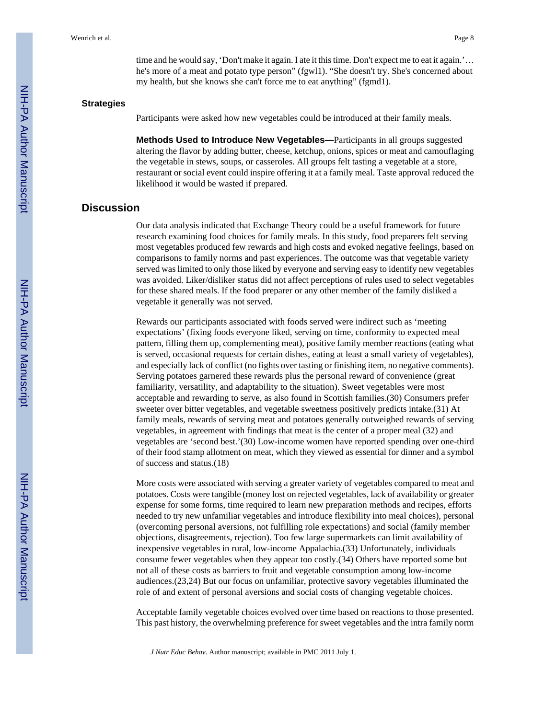time and he would say, 'Don't make it again. I ate it this time. Don't expect me to eat it again.'… he's more of a meat and potato type person" (fgwl1). "She doesn't try. She's concerned about my health, but she knows she can't force me to eat anything" (fgmd1).

#### **Strategies**

Participants were asked how new vegetables could be introduced at their family meals.

**Methods Used to Introduce New Vegetables—**Participants in all groups suggested altering the flavor by adding butter, cheese, ketchup, onions, spices or meat and camouflaging the vegetable in stews, soups, or casseroles. All groups felt tasting a vegetable at a store, restaurant or social event could inspire offering it at a family meal. Taste approval reduced the likelihood it would be wasted if prepared.

#### **Discussion**

Our data analysis indicated that Exchange Theory could be a useful framework for future research examining food choices for family meals. In this study, food preparers felt serving most vegetables produced few rewards and high costs and evoked negative feelings, based on comparisons to family norms and past experiences. The outcome was that vegetable variety served was limited to only those liked by everyone and serving easy to identify new vegetables was avoided. Liker/disliker status did not affect perceptions of rules used to select vegetables for these shared meals. If the food preparer or any other member of the family disliked a vegetable it generally was not served.

Rewards our participants associated with foods served were indirect such as 'meeting expectations' (fixing foods everyone liked, serving on time, conformity to expected meal pattern, filling them up, complementing meat), positive family member reactions (eating what is served, occasional requests for certain dishes, eating at least a small variety of vegetables), and especially lack of conflict (no fights over tasting or finishing item, no negative comments). Serving potatoes garnered these rewards plus the personal reward of convenience (great familiarity, versatility, and adaptability to the situation). Sweet vegetables were most acceptable and rewarding to serve, as also found in Scottish families.(30) Consumers prefer sweeter over bitter vegetables, and vegetable sweetness positively predicts intake.(31) At family meals, rewards of serving meat and potatoes generally outweighed rewards of serving vegetables, in agreement with findings that meat is the center of a proper meal (32) and vegetables are 'second best.'(30) Low-income women have reported spending over one-third of their food stamp allotment on meat, which they viewed as essential for dinner and a symbol of success and status.(18)

More costs were associated with serving a greater variety of vegetables compared to meat and potatoes. Costs were tangible (money lost on rejected vegetables, lack of availability or greater expense for some forms, time required to learn new preparation methods and recipes, efforts needed to try new unfamiliar vegetables and introduce flexibility into meal choices), personal (overcoming personal aversions, not fulfilling role expectations) and social (family member objections, disagreements, rejection). Too few large supermarkets can limit availability of inexpensive vegetables in rural, low-income Appalachia.(33) Unfortunately, individuals consume fewer vegetables when they appear too costly.(34) Others have reported some but not all of these costs as barriers to fruit and vegetable consumption among low-income audiences.(23,24) But our focus on unfamiliar, protective savory vegetables illuminated the role of and extent of personal aversions and social costs of changing vegetable choices.

Acceptable family vegetable choices evolved over time based on reactions to those presented. This past history, the overwhelming preference for sweet vegetables and the intra family norm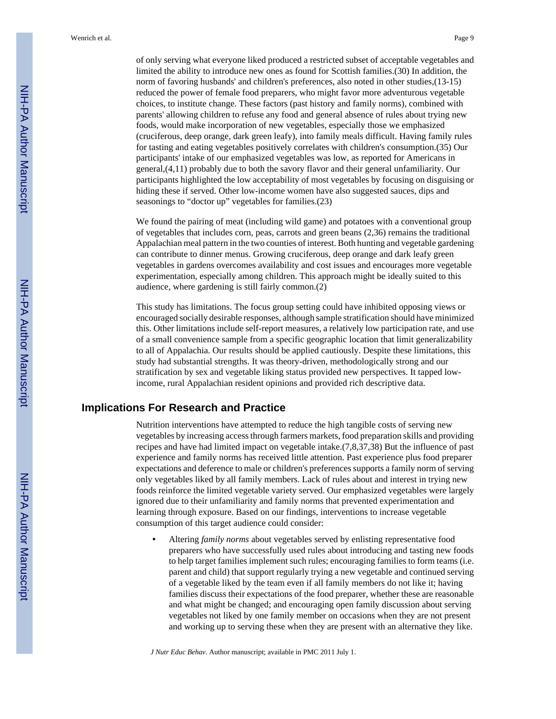of only serving what everyone liked produced a restricted subset of acceptable vegetables and limited the ability to introduce new ones as found for Scottish families.(30) In addition, the norm of favoring husbands' and children's preferences, also noted in other studies,(13-15) reduced the power of female food preparers, who might favor more adventurous vegetable choices, to institute change. These factors (past history and family norms), combined with parents' allowing children to refuse any food and general absence of rules about trying new foods, would make incorporation of new vegetables, especially those we emphasized (cruciferous, deep orange, dark green leafy), into family meals difficult. Having family rules for tasting and eating vegetables positively correlates with children's consumption.(35) Our participants' intake of our emphasized vegetables was low, as reported for Americans in general,(4,11) probably due to both the savory flavor and their general unfamiliarity. Our participants highlighted the low acceptability of most vegetables by focusing on disguising or hiding these if served. Other low-income women have also suggested sauces, dips and seasonings to "doctor up" vegetables for families.(23)

We found the pairing of meat (including wild game) and potatoes with a conventional group of vegetables that includes corn, peas, carrots and green beans (2,36) remains the traditional Appalachian meal pattern in the two counties of interest. Both hunting and vegetable gardening can contribute to dinner menus. Growing cruciferous, deep orange and dark leafy green vegetables in gardens overcomes availability and cost issues and encourages more vegetable experimentation, especially among children. This approach might be ideally suited to this audience, where gardening is still fairly common.(2)

This study has limitations. The focus group setting could have inhibited opposing views or encouraged socially desirable responses, although sample stratification should have minimized this. Other limitations include self-report measures, a relatively low participation rate, and use of a small convenience sample from a specific geographic location that limit generalizability to all of Appalachia. Our results should be applied cautiously. Despite these limitations, this study had substantial strengths. It was theory-driven, methodologically strong and our stratification by sex and vegetable liking status provided new perspectives. It tapped lowincome, rural Appalachian resident opinions and provided rich descriptive data.

#### **Implications For Research and Practice**

Nutrition interventions have attempted to reduce the high tangible costs of serving new vegetables by increasing access through farmers markets, food preparation skills and providing recipes and have had limited impact on vegetable intake.(7,8,37,38) But the influence of past experience and family norms has received little attention. Past experience plus food preparer expectations and deference to male or children's preferences supports a family norm of serving only vegetables liked by all family members. Lack of rules about and interest in trying new foods reinforce the limited vegetable variety served. Our emphasized vegetables were largely ignored due to their unfamiliarity and family norms that prevented experimentation and learning through exposure. Based on our findings, interventions to increase vegetable consumption of this target audience could consider:

**•** Altering *family norms* about vegetables served by enlisting representative food preparers who have successfully used rules about introducing and tasting new foods to help target families implement such rules; encouraging families to form teams (i.e. parent and child) that support regularly trying a new vegetable and continued serving of a vegetable liked by the team even if all family members do not like it; having families discuss their expectations of the food preparer, whether these are reasonable and what might be changed; and encouraging open family discussion about serving vegetables not liked by one family member on occasions when they are not present and working up to serving these when they are present with an alternative they like.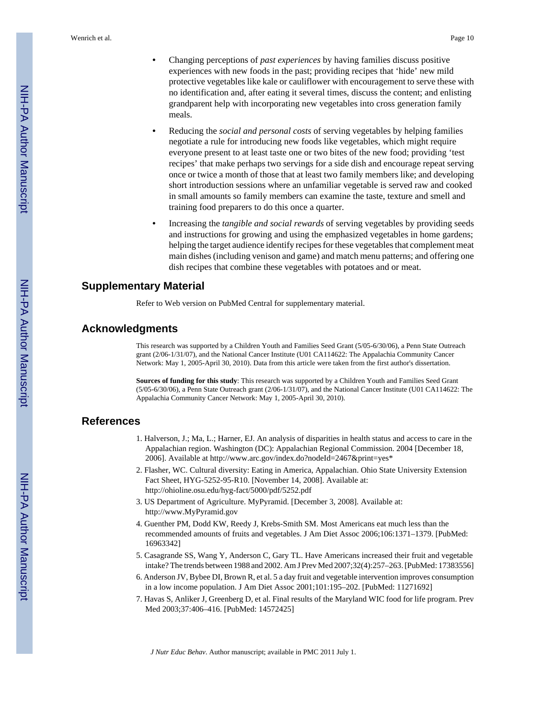- **•** Changing perceptions of *past experiences* by having families discuss positive experiences with new foods in the past; providing recipes that 'hide' new mild protective vegetables like kale or cauliflower with encouragement to serve these with no identification and, after eating it several times, discuss the content; and enlisting grandparent help with incorporating new vegetables into cross generation family meals.
- **•** Reducing the *social and personal costs* of serving vegetables by helping families negotiate a rule for introducing new foods like vegetables, which might require everyone present to at least taste one or two bites of the new food; providing 'test recipes' that make perhaps two servings for a side dish and encourage repeat serving once or twice a month of those that at least two family members like; and developing short introduction sessions where an unfamiliar vegetable is served raw and cooked in small amounts so family members can examine the taste, texture and smell and training food preparers to do this once a quarter.
- **•** Increasing the *tangible and social rewards* of serving vegetables by providing seeds and instructions for growing and using the emphasized vegetables in home gardens; helping the target audience identify recipes for these vegetables that complement meat main dishes (including venison and game) and match menu patterns; and offering one dish recipes that combine these vegetables with potatoes and or meat.

#### **Supplementary Material**

Refer to Web version on PubMed Central for supplementary material.

#### **Acknowledgments**

This research was supported by a Children Youth and Families Seed Grant (5/05-6/30/06), a Penn State Outreach grant (2/06-1/31/07), and the National Cancer Institute (U01 CA114622: The Appalachia Community Cancer Network: May 1, 2005-April 30, 2010). Data from this article were taken from the first author's dissertation.

**Sources of funding for this study**: This research was supported by a Children Youth and Families Seed Grant (5/05-6/30/06), a Penn State Outreach grant (2/06-1/31/07), and the National Cancer Institute (U01 CA114622: The Appalachia Community Cancer Network: May 1, 2005-April 30, 2010).

#### **References**

- 1. Halverson, J.; Ma, L.; Harner, EJ. An analysis of disparities in health status and access to care in the Appalachian region. Washington (DC): Appalachian Regional Commission. 2004 [December 18, 2006]. Available at [http://www.arc.gov/index.do?nodeId=2467&print=yes\\*](http://www.arc.gov/index.do?nodeId=2467&print=yes*)
- 2. Flasher, WC. Cultural diversity: Eating in America, Appalachian. Ohio State University Extension Fact Sheet, HYG-5252-95-R10. [November 14, 2008]. Available at: <http://ohioline.osu.edu/hyg-fact/5000/pdf/5252.pdf>
- 3. US Department of Agriculture. MyPyramid. [December 3, 2008]. Available at: <http://www.MyPyramid.gov>
- 4. Guenther PM, Dodd KW, Reedy J, Krebs-Smith SM. Most Americans eat much less than the recommended amounts of fruits and vegetables. J Am Diet Assoc 2006;106:1371–1379. [PubMed: 16963342]
- 5. Casagrande SS, Wang Y, Anderson C, Gary TL. Have Americans increased their fruit and vegetable intake? The trends between 1988 and 2002. Am J Prev Med 2007;32(4):257–263. [PubMed: 17383556]
- 6. Anderson JV, Bybee DI, Brown R, et al. 5 a day fruit and vegetable intervention improves consumption in a low income population. J Am Diet Assoc 2001;101:195–202. [PubMed: 11271692]
- 7. Havas S, Anliker J, Greenberg D, et al. Final results of the Maryland WIC food for life program. Prev Med 2003;37:406–416. [PubMed: 14572425]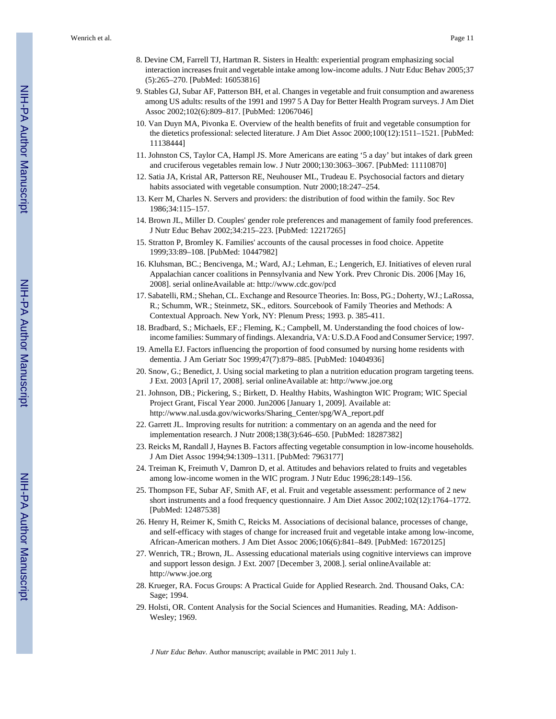Wenrich et al. Page 11

- 8. Devine CM, Farrell TJ, Hartman R. Sisters in Health: experiential program emphasizing social interaction increases fruit and vegetable intake among low-income adults. J Nutr Educ Behav 2005;37 (5):265–270. [PubMed: 16053816]
- 9. Stables GJ, Subar AF, Patterson BH, et al. Changes in vegetable and fruit consumption and awareness among US adults: results of the 1991 and 1997 5 A Day for Better Health Program surveys. J Am Diet Assoc 2002;102(6):809–817. [PubMed: 12067046]
- 10. Van Duyn MA, Pivonka E. Overview of the health benefits of fruit and vegetable consumption for the dietetics professional: selected literature. J Am Diet Assoc 2000;100(12):1511–1521. [PubMed: 11138444]
- 11. Johnston CS, Taylor CA, Hampl JS. More Americans are eating '5 a day' but intakes of dark green and cruciferous vegetables remain low. J Nutr 2000;130:3063–3067. [PubMed: 11110870]
- 12. Satia JA, Kristal AR, Patterson RE, Neuhouser ML, Trudeau E. Psychosocial factors and dietary habits associated with vegetable consumption. Nutr 2000;18:247–254.
- 13. Kerr M, Charles N. Servers and providers: the distribution of food within the family. Soc Rev 1986;34:115–157.
- 14. Brown JL, Miller D. Couples' gender role preferences and management of family food preferences. J Nutr Educ Behav 2002;34:215–223. [PubMed: 12217265]
- 15. Stratton P, Bromley K. Families' accounts of the causal processes in food choice. Appetite 1999;33:89–108. [PubMed: 10447982]
- 16. Kluhsman, BC.; Bencivenga, M.; Ward, AJ.; Lehman, E.; Lengerich, EJ. Initiatives of eleven rural Appalachian cancer coalitions in Pennsylvania and New York. Prev Chronic Dis. 2006 [May 16, 2008]. serial onlineAvailable at:<http://www.cdc.gov/pcd>
- 17. Sabatelli, RM.; Shehan, CL. Exchange and Resource Theories. In: Boss, PG.; Doherty, WJ.; LaRossa, R.; Schumm, WR.; Steinmetz, SK., editors. Sourcebook of Family Theories and Methods: A Contextual Approach. New York, NY: Plenum Press; 1993. p. 385-411.
- 18. Bradbard, S.; Michaels, EF.; Fleming, K.; Campbell, M. Understanding the food choices of lowincome families: Summary of findings. Alexandria, VA: U.S.D.A Food and Consumer Service; 1997.
- 19. Amella EJ. Factors influencing the proportion of food consumed by nursing home residents with dementia. J Am Geriatr Soc 1999;47(7):879–885. [PubMed: 10404936]
- 20. Snow, G.; Benedict, J. Using social marketing to plan a nutrition education program targeting teens. J Ext. 2003 [April 17, 2008]. serial onlineAvailable at: <http://www.joe.org>
- 21. Johnson, DB.; Pickering, S.; Birkett, D. Healthy Habits, Washington WIC Program; WIC Special Project Grant, Fiscal Year 2000. Jun2006 [January 1, 2009]. Available at: [http://www.nal.usda.gov/wicworks/Sharing\\_Center/spg/WA\\_report.pdf](http://www.nal.usda.gov/wicworks/Sharing_Center/spg/WA_report.pdf)
- 22. Garrett JL. Improving results for nutrition: a commentary on an agenda and the need for implementation research. J Nutr 2008;138(3):646–650. [PubMed: 18287382]
- 23. Reicks M, Randall J, Haynes B. Factors affecting vegetable consumption in low-income households. J Am Diet Assoc 1994;94:1309–1311. [PubMed: 7963177]
- 24. Treiman K, Freimuth V, Damron D, et al. Attitudes and behaviors related to fruits and vegetables among low-income women in the WIC program. J Nutr Educ 1996;28:149–156.
- 25. Thompson FE, Subar AF, Smith AF, et al. Fruit and vegetable assessment: performance of 2 new short instruments and a food frequency questionnaire. J Am Diet Assoc 2002;102(12):1764–1772. [PubMed: 12487538]
- 26. Henry H, Reimer K, Smith C, Reicks M. Associations of decisional balance, processes of change, and self-efficacy with stages of change for increased fruit and vegetable intake among low-income, African-American mothers. J Am Diet Assoc 2006;106(6):841–849. [PubMed: 16720125]
- 27. Wenrich, TR.; Brown, JL. Assessing educational materials using cognitive interviews can improve and support lesson design. J Ext. 2007 [December 3, 2008.]. serial onlineAvailable at: <http://www.joe.org>
- 28. Krueger, RA. Focus Groups: A Practical Guide for Applied Research. 2nd. Thousand Oaks, CA: Sage; 1994.
- 29. Holsti, OR. Content Analysis for the Social Sciences and Humanities. Reading, MA: Addison-Wesley; 1969.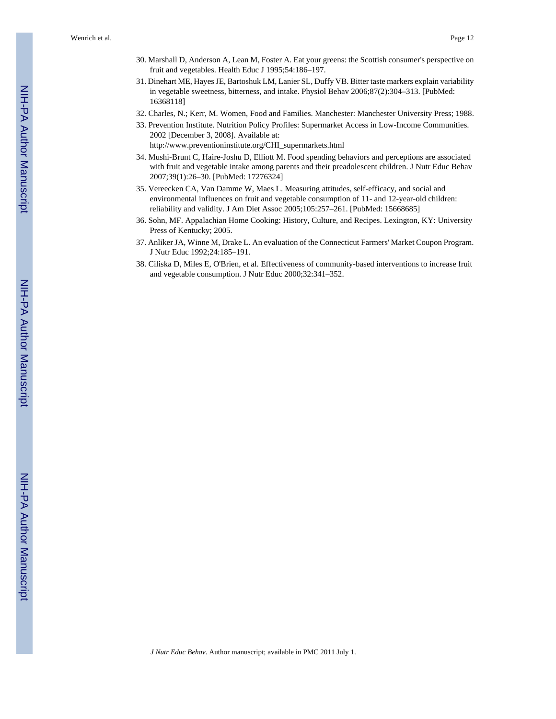Wenrich et al. Page 12

- 30. Marshall D, Anderson A, Lean M, Foster A. Eat your greens: the Scottish consumer's perspective on fruit and vegetables. Health Educ J 1995;54:186–197.
- 31. Dinehart ME, Hayes JE, Bartoshuk LM, Lanier SL, Duffy VB. Bitter taste markers explain variability in vegetable sweetness, bitterness, and intake. Physiol Behav 2006;87(2):304–313. [PubMed: 16368118]
- 32. Charles, N.; Kerr, M. Women, Food and Families. Manchester: Manchester University Press; 1988.
- 33. Prevention Institute. Nutrition Policy Profiles: Supermarket Access in Low-Income Communities. 2002 [December 3, 2008]. Available at: [http://www.preventioninstitute.org/CHI\\_supermarkets.html](http://www.preventioninstitute.org/CHI_supermarkets.html)
- 34. Mushi-Brunt C, Haire-Joshu D, Elliott M. Food spending behaviors and perceptions are associated with fruit and vegetable intake among parents and their preadolescent children. J Nutr Educ Behav 2007;39(1):26–30. [PubMed: 17276324]
- 35. Vereecken CA, Van Damme W, Maes L. Measuring attitudes, self-efficacy, and social and environmental influences on fruit and vegetable consumption of 11- and 12-year-old children: reliability and validity. J Am Diet Assoc 2005;105:257–261. [PubMed: 15668685]
- 36. Sohn, MF. Appalachian Home Cooking: History, Culture, and Recipes. Lexington, KY: University Press of Kentucky; 2005.
- 37. Anliker JA, Winne M, Drake L. An evaluation of the Connecticut Farmers' Market Coupon Program. J Nutr Educ 1992;24:185–191.
- 38. Ciliska D, Miles E, O'Brien, et al. Effectiveness of community-based interventions to increase fruit and vegetable consumption. J Nutr Educ 2000;32:341–352.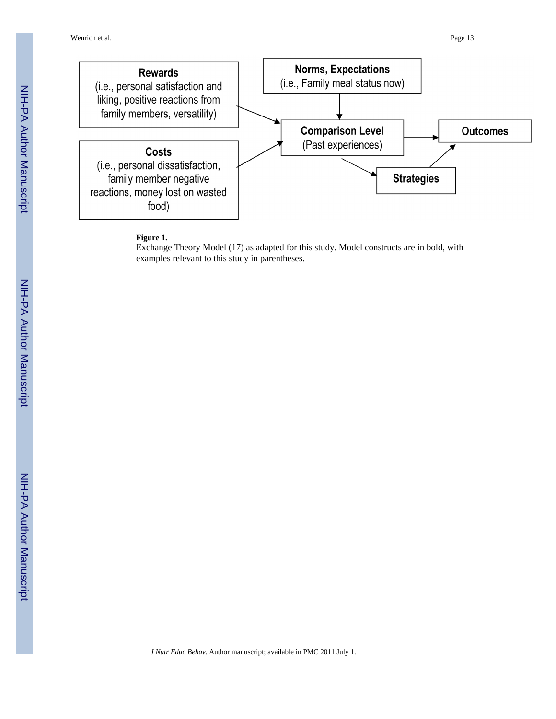

#### **Figure 1.**

Exchange Theory Model (17) as adapted for this study. Model constructs are in bold, with examples relevant to this study in parentheses.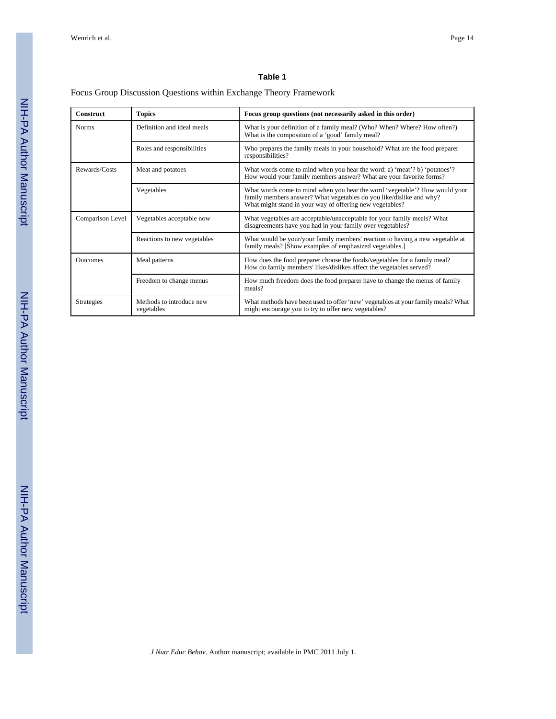#### **Table 1**

#### Focus Group Discussion Questions within Exchange Theory Framework

| <b>Construct</b>  | <b>Topics</b>                          | Focus group questions (not necessarily asked in this order)                                                                                                                                                   |
|-------------------|----------------------------------------|---------------------------------------------------------------------------------------------------------------------------------------------------------------------------------------------------------------|
| <b>Norms</b>      | Definition and ideal meals             | What is your definition of a family meal? (Who? When? Where? How often?)<br>What is the composition of a 'good' family meal?                                                                                  |
|                   | Roles and responsibilities             | Who prepares the family meals in your household? What are the food preparer<br>responsibilities?                                                                                                              |
| Rewards/Costs     | Meat and potatoes                      | What words come to mind when you hear the word: a) 'meat'? b) 'potatoes'?<br>How would your family members answer? What are your favorite forms?                                                              |
|                   | Vegetables                             | What words come to mind when you hear the word 'vegetable'? How would your<br>family members answer? What vegetables do you like/dislike and why?<br>What might stand in your way of offering new vegetables? |
| Comparison Level  | Vegetables acceptable now              | What vegetables are acceptable/unacceptable for your family meals? What<br>disagreements have you had in your family over vegetables?                                                                         |
|                   | Reactions to new vegetables            | What would be your/your family members' reaction to having a new vegetable at<br>family meals? [Show examples of emphasized vegetables.]                                                                      |
| <b>Outcomes</b>   | Meal patterns                          | How does the food preparer choose the foods/vegetables for a family meal?<br>How do family members' likes/dislikes affect the vegetables served?                                                              |
|                   | Freedom to change menus                | How much freedom does the food preparer have to change the menus of family<br>meals?                                                                                                                          |
| <b>Strategies</b> | Methods to introduce new<br>vegetables | What methods have been used to offer 'new' vegetables at your family meals? What<br>might encourage you to try to offer new vegetables?                                                                       |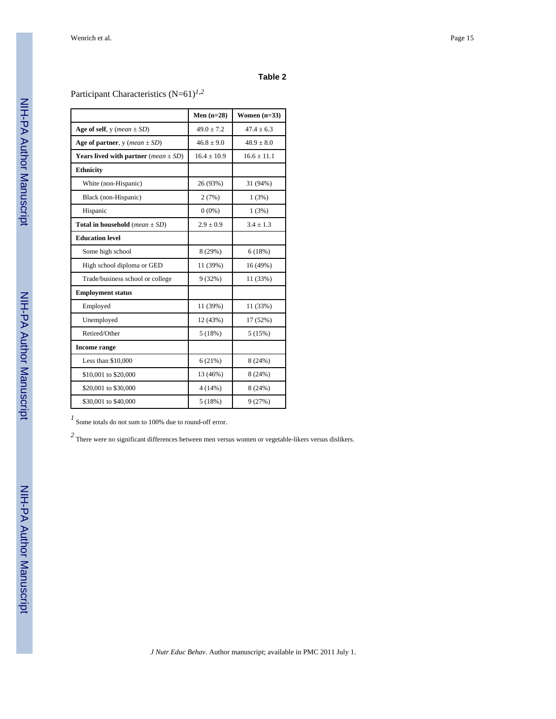#### **Table 2**

Participant Characteristics (N=61)*1*,*<sup>2</sup>*

|                                                         | Men $(n=28)$    | Women $(n=33)$  |
|---------------------------------------------------------|-----------------|-----------------|
| Age of self, $y$ (mean $\pm$ SD)                        | $49.0 \pm 7.2$  | $47.4 \pm 6.3$  |
| Age of partner, $y$ ( <i>mean</i> $\pm$ SD)             | $46.8 \pm 9.0$  | $48.9 \pm 8.0$  |
| <b>Years lived with partner</b> ( <i>mean</i> $\pm$ SD) | $16.4 \pm 10.9$ | $16.6 \pm 11.1$ |
| <b>Ethnicity</b>                                        |                 |                 |
| White (non-Hispanic)                                    | 26 (93%)        | 31 (94%)        |
| Black (non-Hispanic)                                    | 2(7%)           | 1(3%)           |
| Hispanic                                                | $0(0\%)$        | 1(3%)           |
| <b>Total in household</b> ( <i>mean</i> $\pm$ SD)       | $2.9 \pm 0.9$   | $3.4 \pm 1.3$   |
| <b>Education level</b>                                  |                 |                 |
| Some high school                                        | 8 (29%)         | 6(18%)          |
| High school diploma or GED                              | 11 (39%)        | 16 (49%)        |
| Trade/business school or college                        | 9(32%)          | 11 (33%)        |
| <b>Employment status</b>                                |                 |                 |
| Employed                                                | 11 (39%)        | 11 (33%)        |
| Unemployed                                              | 12 (43%)        | 17(52%)         |
| Retired/Other                                           | 5(18%)          | 5(15%)          |
| <b>Income range</b>                                     |                 |                 |
| Less than $$10,000$                                     | 6(21%)          | 8(24%)          |
| \$10,001 to \$20,000                                    | 13 (46%)        | 8 (24%)         |
| \$20,001 to \$30,000                                    | 4(14%)          | 8(24%)          |
| \$30,001 to \$40,000                                    | 5(18%)          | 9(27%)          |

*1* Some totals do not sum to 100% due to round-off error.

*2* There were no significant differences between men versus women or vegetable-likers versus dislikers.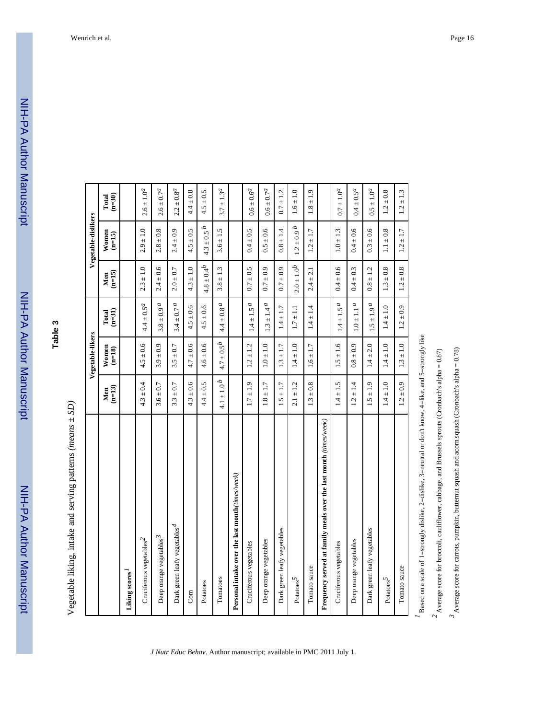**Table 3**

Vegetable liking, intake and serving patterns (means  $\pm SD$ ) Vegetable liking, intake and serving patterns *(means* ± *SD)*

|                                                                   |                            | Vegetable-likers  |                            |                   | Vegetable-dislikers    |                        |
|-------------------------------------------------------------------|----------------------------|-------------------|----------------------------|-------------------|------------------------|------------------------|
|                                                                   | $(n=13)$<br>Men            | Women<br>$(n=18)$ | $(n=31)$<br>Total          | $(n=15)$<br>Men   | $W$ omen<br>(n=15)     | $(n=30)$<br>Total      |
| Liking scores <sup>1</sup>                                        |                            |                   |                            |                   |                        |                        |
| Cruciferous vegetables <sup>2</sup>                               | $4.3 \pm 0.4$              | $4.5 \pm 0.6$     | $4.4 \pm 0.5^{\prime}$     | $2.3 \pm 1.0$     | $2.9 \pm 1.0$          | $2.6 \pm 1.0^{d}$      |
| Deep orange vegetables <sup>3</sup>                               | $3.6 \pm 0.7$              | $3.9 \pm 0.9$     | $3.8 \pm 0.9$ $^{a}$       | $2.4 \pm 0.6$     | $2.8 \pm 0.8$          | $2.6 \pm 0.7^a$        |
| Dark green leafy vegetables <sup>4</sup>                          | $3.3 \pm 0.7$              | $3.5 \pm 0.7$     | $3.4 \pm 0.7$ a            | $2.0 \pm 0.7$     | $2.4 \pm 0.9$          | $2.2 \pm 0.8^{d}$      |
| Corn                                                              | $4.3 \pm 0.6$              | $4.7 \pm 0.6$     | $4.5 \pm 0.6$              | $4.3 \pm 1.0$     | $4.5 \pm 0.5$          | $4.4 \pm 0.8$          |
| Potatoes                                                          | $4.4 \pm 0.5$              | $4.6 \pm 0.6$     | $4.5 \pm 0.6$              | $4.8 \pm 0.4^{b}$ | $4.3 \pm 0.5 b$        | $4.5 \pm 0.5$          |
| Tomatoes                                                          | $4.1\pm1.0\,^b$            | $4.7 \pm 0.5^{b}$ | $4.4\pm0.8$ $^{a}$         | $3.8 \pm 1.3$     | $3.6 \pm 1.5$          | $3.7 \pm 1.3^{\circ}$  |
| Personal intake over the last month(times/week)                   |                            |                   |                            |                   |                        |                        |
| Cruciferous vegetables                                            | $1.7 \pm 1.9$              | $1.2 \pm 1.2$     | $1.4 \pm 1.5^{\,a}$        | $0.7 \pm 0.5$     | $0.4 \pm 0.5$          | $0.6 \pm 0.6^{d}$      |
| Deep orange vegetables                                            | $\pm$ 1.7<br>$\frac{8}{1}$ | $1.0 \pm 1.0$     | $1.3 \pm 1.4a$             | $0.7 \pm 0.9$     | $0.5 \pm 0.6$          | $0.6 \pm 0.7^a$        |
| Dark green leafy vegetables                                       | $\pm$ 1.7<br>$\frac{5}{1}$ | $1.3 \pm 1.7$     | $1.4 \pm 1.7$              | $0.7 \pm 0.9$     | $0.8 \pm 1.4$          | $0.7 \pm 1.2$          |
| Potatoes <sup>5</sup>                                             | $2.1 \pm 1.2$              | $1.4 \pm 1.0$     | $1.7 \pm 1.1$              | $2.0 \pm 1.0^{b}$ | $1.2 \pm 0.9$ <i>b</i> | $1.6 \pm 1.0$          |
| Tomato sauce                                                      | $1.3 \pm 0.8$              | $1.6 \pm 1.7$     | $\pm$ 1.4<br>$\frac{4}{1}$ | $2.4 \pm 2.1$     | $1.2 \pm 1.7$          | ±1.9<br>$\frac{8}{18}$ |
| Frequency served at family meals over the last month (times/week) |                            |                   |                            |                   |                        |                        |
| Cruciferous vegetables                                            | $1.4 \pm 1.5$              | $1.5 \pm 1.6$     | $1.4 \pm 1.5^ a$           | $0.4 \pm 0.6$     | $1.0 \pm 1.3$          | $0.7 \pm 1.0^a$        |
| Deep orange vegetables                                            | $1.2 \pm 1.4$              | $0.8 \pm 0.9$     | $1.0 \pm 1.1$ <i>a</i>     | $0.4 \pm 0.3$     | $0.4 \pm 0.6$          | $0.4 \pm 0.5^d$        |
| Dark green leafy vegetables                                       | ±1.9<br>$\overline{15}$    | $1.4 \pm 2.0$     | $1.5 \pm 1.9^{\prime}$     | $0.8 \pm 1.2$     | $0.3 \pm 0.6$          | $0.5 \pm 1.0^a$        |
| Potatoes <sup>5</sup>                                             | $1.4 \pm 1.0$              | $1.4 \pm 1.0$     | $1.4 \pm 1.0$              | $1.3 \pm 0.8$     | $1.1 \pm 0.8$          | $1.2 \pm 0.8$          |
| Tomato sauce                                                      | $1.2 \pm 0.9$              | $1.3 \pm 1.0$     | $1.2 \pm 0.9$              | $1.2 \pm 0.8$     | $1.2 \pm 1.7$          | $1.2 \pm 1.3$          |

*J Nutr Educ Behav*. Author manuscript; available in PMC 2011 July 1.

Based on a scale of 1=strongly dislike, 2=dislike, 3=neutral or don't know, 4=like, and 5=strongly like *1* Based on a scale of 1=strongly dislike, 2=dislike, 3=neutral or don't know, 4=like, and 5=strongly like

 $^2$  Average score for broccoli, cauliflower, cabbage, and Brussels sprouts (Cronbach's alpha =  $0.87$ )  $2^2$  Average score for broccoli, cauliflower, cabbage, and Brussels sprouts (Cronbach's alpha = 0.87)

 $^3$  Average score for carrots, pumpkin, butternut squash and acorn squash (Cronbach's alpha = 0.78) *3* Average score for carrots, pumpkin, butternut squash and acorn squash (Cronbach's alpha = 0.78)